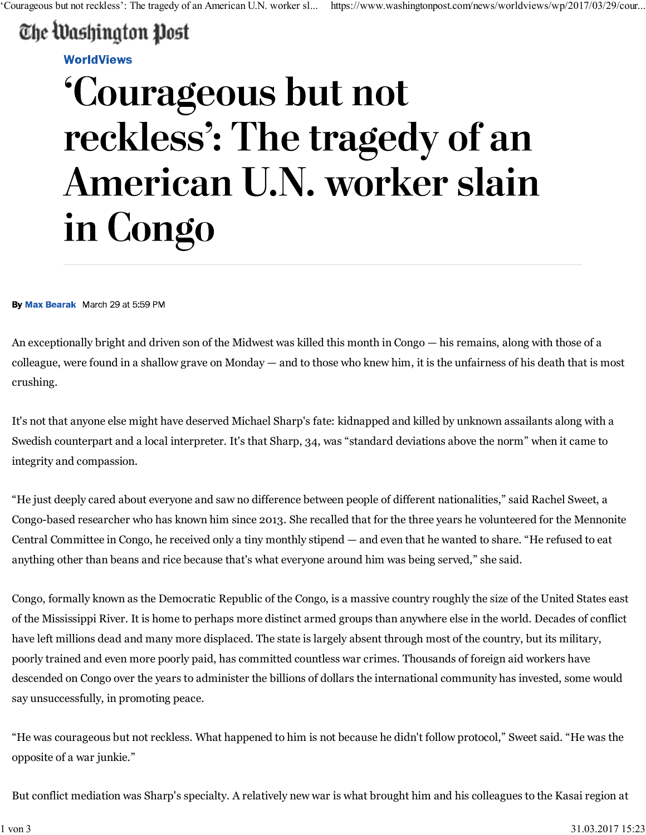## The Washington Post

## **WorldViews**

## 'Courageous but not reckless': The tragedy of an American U.N. worker slain in Congo

By Max Bearak March 29 at 5:59 PM

An exceptionally bright and driven son of the Midwest was killed this month in Congo — his remains, along with those of a colleague, were found in a shallow grave on Monday — and to those who knew him, it is the unfairness of his death that is most crushing.

It's not that anyone else might have deserved Michael Sharp's fate: kidnapped and killed by unknown assailants along with a Swedish counterpart and a local interpreter. It's that Sharp, 34, was "standard deviations above the norm" when it came to integrity and compassion.

"He just deeply cared about everyone and saw no difference between people of different nationalities," said Rachel Sweet, a Congo-based researcher who has known him since 2013. She recalled that for the three years he volunteered for the Mennonite Central Committee in Congo, he received only a tiny monthly stipend — and even that he wanted to share. "He refused to eat anything other than beans and rice because that's what everyone around him was being served," she said.

Congo, formally known as the Democratic Republic of the Congo, is a massive country roughly the size of the United States east of the Mississippi River. It is home to perhaps more distinct armed groups than anywhere else in the world. Decades of conflict have left millions dead and many more displaced. The state is largely absent through most of the country, but its military, poorly trained and even more poorly paid, has committed countless war crimes. Thousands of foreign aid workers have descended on Congo over the years to administer the billions of dollars the international community has invested, some would say unsuccessfully, in promoting peace.

"He was courageous but not reckless. What happened to him is not because he didn't follow protocol," Sweet said. "He was the opposite of a war junkie."

But conflict mediation was Sharp's specialty. A relatively new war is what brought him and his colleagues to the Kasai region at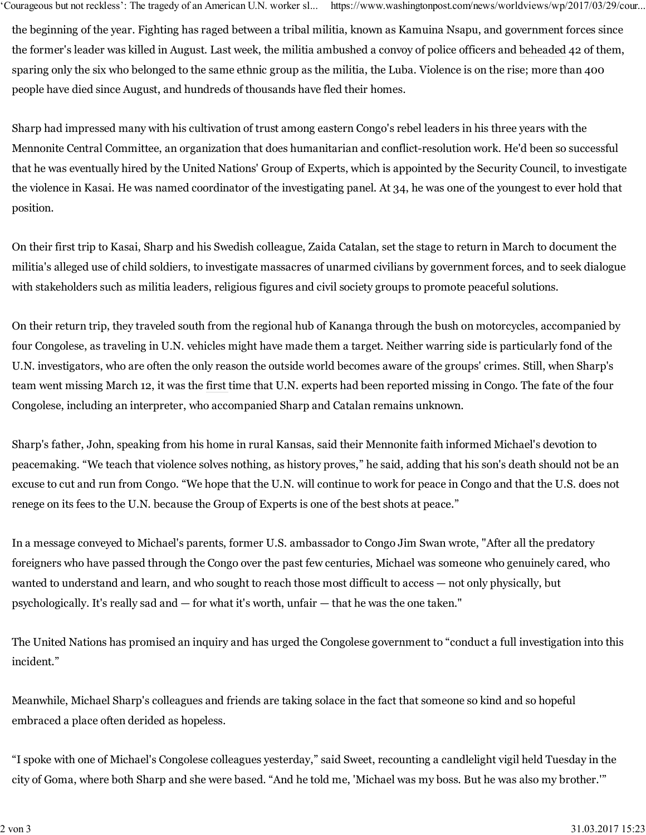Courageous but not reckless': The tragedy of an American U.N. worker sl... https://www.washingtonpost.com/news/worldviews/wp/2017/03/29/cour...

the beginning of the year. Fighting has raged between a tribal militia, known as Kamuina Nsapu, and government forces since the former's leader was killed in August. Last week, the militia ambushed a convoy of police officers and beheaded 42 of them, sparing only the six who belonged to the same ethnic group as the militia, the Luba. Violence is on the rise; more than 400 people have died since August, and hundreds of thousands have fled their homes.

Sharp had impressed many with his cultivation of trust among eastern Congo's rebel leaders in his three years with the Mennonite Central Committee, an organization that does humanitarian and conflict-resolution work. He'd been so successful that he was eventually hired by the United Nations' Group of Experts, which is appointed by the Security Council, to investigate the violence in Kasai. He was named coordinator of the investigating panel. At 34, he was one of the youngest to ever hold that position.

On their first trip to Kasai, Sharp and his Swedish colleague, Zaida Catalan, set the stage to return in March to document the militia's alleged use of child soldiers, to investigate massacres of unarmed civilians by government forces, and to seek dialogue with stakeholders such as militia leaders, religious figures and civil society groups to promote peaceful solutions.

On their return trip, they traveled south from the regional hub of Kananga through the bush on motorcycles, accompanied by four Congolese, as traveling in U.N. vehicles might have made them a target. Neither warring side is particularly fond of the U.N. investigators, who are often the only reason the outside world becomes aware of the groups' crimes. Still, when Sharp's team went missing March 12, it was the first time that U.N. experts had been reported missing in Congo. The fate of the four Congolese, including an interpreter, who accompanied Sharp and Catalan remains unknown.

Sharp's father, John, speaking from his home in rural Kansas, said their Mennonite faith informed Michael's devotion to peacemaking. "We teach that violence solves nothing, as history proves," he said, adding that his son's death should not be an excuse to cut and run from Congo. "We hope that the U.N. will continue to work for peace in Congo and that the U.S. does not renege on its fees to the U.N. because the Group of Experts is one of the best shots at peace."

In a message conveyed to Michael's parents, former U.S. ambassador to Congo Jim Swan wrote, "After all the predatory foreigners who have passed through the Congo over the past few centuries, Michael was someone who genuinely cared, who wanted to understand and learn, and who sought to reach those most difficult to access — not only physically, but psychologically. It's really sad and — for what it's worth, unfair — that he was the one taken."

The United Nations has promised an inquiry and has urged the Congolese government to "conduct a full investigation into this incident."

Meanwhile, Michael Sharp's colleagues and friends are taking solace in the fact that someone so kind and so hopeful embraced a place often derided as hopeless.

"I spoke with one of Michael's Congolese colleagues yesterday," said Sweet, recounting a candlelight vigil held Tuesday in the city of Goma, where both Sharp and she were based. "And he told me, 'Michael was my boss. But he was also my brother.'"